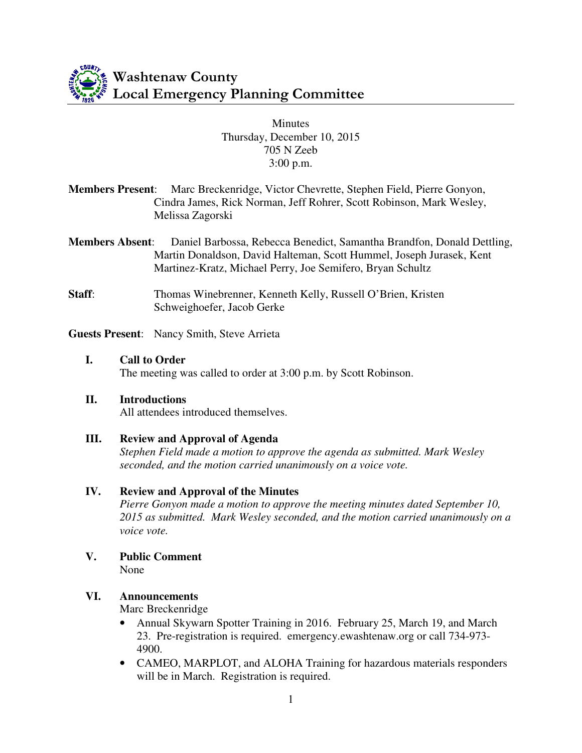

#### **Minutes** Thursday, December 10, 2015 705 N Zeeb 3:00 p.m.

- **Members Present**: Marc Breckenridge, Victor Chevrette, Stephen Field, Pierre Gonyon, Cindra James, Rick Norman, Jeff Rohrer, Scott Robinson, Mark Wesley, Melissa Zagorski
- **Members Absent**: Daniel Barbossa, Rebecca Benedict, Samantha Brandfon, Donald Dettling, Martin Donaldson, David Halteman, Scott Hummel, Joseph Jurasek, Kent Martinez-Kratz, Michael Perry, Joe Semifero, Bryan Schultz
- **Staff:** Thomas Winebrenner, Kenneth Kelly, Russell O'Brien, Kristen Schweighoefer, Jacob Gerke

**Guests Present**: Nancy Smith, Steve Arrieta

**I. Call to Order**  The meeting was called to order at 3:00 p.m. by Scott Robinson.

#### **II. Introductions**

All attendees introduced themselves.

#### **III. Review and Approval of Agenda**

*Stephen Field made a motion to approve the agenda as submitted. Mark Wesley seconded, and the motion carried unanimously on a voice vote.* 

#### **IV. Review and Approval of the Minutes**

*Pierre Gonyon made a motion to approve the meeting minutes dated September 10, 2015 as submitted. Mark Wesley seconded, and the motion carried unanimously on a voice vote.* 

**V. Public Comment**  None

#### **VI. Announcements**

Marc Breckenridge

- Annual Skywarn Spotter Training in 2016. February 25, March 19, and March 23. Pre-registration is required. emergency.ewashtenaw.org or call 734-973- 4900.
- CAMEO, MARPLOT, and ALOHA Training for hazardous materials responders will be in March. Registration is required.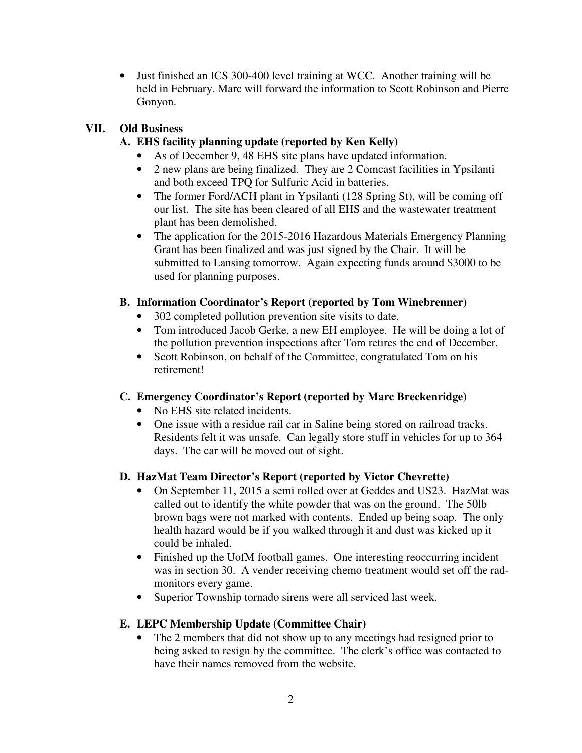• Just finished an ICS 300-400 level training at WCC. Another training will be held in February. Marc will forward the information to Scott Robinson and Pierre Gonyon.

# **VII. Old Business**

# **A. EHS facility planning update (reported by Ken Kelly)**

- As of December 9, 48 EHS site plans have updated information.
- 2 new plans are being finalized. They are 2 Comcast facilities in Ypsilanti and both exceed TPQ for Sulfuric Acid in batteries.
- The former Ford/ACH plant in Ypsilanti (128 Spring St), will be coming off our list. The site has been cleared of all EHS and the wastewater treatment plant has been demolished.
- The application for the 2015-2016 Hazardous Materials Emergency Planning Grant has been finalized and was just signed by the Chair. It will be submitted to Lansing tomorrow. Again expecting funds around \$3000 to be used for planning purposes.

# **B. Information Coordinator's Report (reported by Tom Winebrenner)**

- 302 completed pollution prevention site visits to date.
- Tom introduced Jacob Gerke, a new EH employee. He will be doing a lot of the pollution prevention inspections after Tom retires the end of December.
- Scott Robinson, on behalf of the Committee, congratulated Tom on his retirement!

## **C. Emergency Coordinator's Report (reported by Marc Breckenridge)**

- No EHS site related incidents.
- One issue with a residue rail car in Saline being stored on railroad tracks. Residents felt it was unsafe. Can legally store stuff in vehicles for up to 364 days. The car will be moved out of sight.

## **D. HazMat Team Director's Report (reported by Victor Chevrette)**

- On September 11, 2015 a semi rolled over at Geddes and US23. HazMat was called out to identify the white powder that was on the ground. The 50lb brown bags were not marked with contents. Ended up being soap. The only health hazard would be if you walked through it and dust was kicked up it could be inhaled.
- Finished up the UofM football games. One interesting reoccurring incident was in section 30. A vender receiving chemo treatment would set off the radmonitors every game.
- Superior Township tornado sirens were all serviced last week.

## **E. LEPC Membership Update (Committee Chair)**

• The 2 members that did not show up to any meetings had resigned prior to being asked to resign by the committee. The clerk's office was contacted to have their names removed from the website.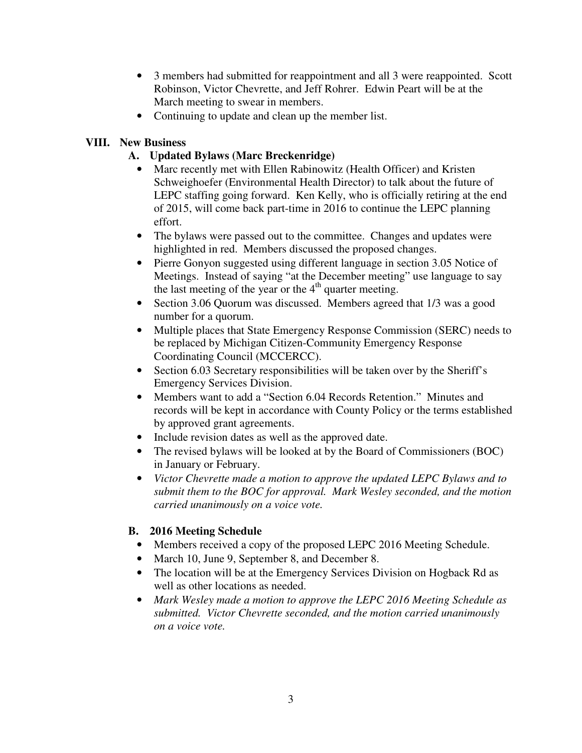- 3 members had submitted for reappointment and all 3 were reappointed. Scott Robinson, Victor Chevrette, and Jeff Rohrer. Edwin Peart will be at the March meeting to swear in members.
- Continuing to update and clean up the member list.

## **VIII. New Business**

# **A. Updated Bylaws (Marc Breckenridge)**

- Marc recently met with Ellen Rabinowitz (Health Officer) and Kristen Schweighoefer (Environmental Health Director) to talk about the future of LEPC staffing going forward. Ken Kelly, who is officially retiring at the end of 2015, will come back part-time in 2016 to continue the LEPC planning effort.
- The bylaws were passed out to the committee. Changes and updates were highlighted in red. Members discussed the proposed changes.
- Pierre Gonyon suggested using different language in section 3.05 Notice of Meetings. Instead of saying "at the December meeting" use language to say the last meeting of the year or the  $4<sup>th</sup>$  quarter meeting.
- Section 3.06 Quorum was discussed. Members agreed that 1/3 was a good number for a quorum.
- Multiple places that State Emergency Response Commission (SERC) needs to be replaced by Michigan Citizen-Community Emergency Response Coordinating Council (MCCERCC).
- Section 6.03 Secretary responsibilities will be taken over by the Sheriff's Emergency Services Division.
- Members want to add a "Section 6.04 Records Retention." Minutes and records will be kept in accordance with County Policy or the terms established by approved grant agreements.
- Include revision dates as well as the approved date.
- The revised bylaws will be looked at by the Board of Commissioners (BOC) in January or February.
- *Victor Chevrette made a motion to approve the updated LEPC Bylaws and to submit them to the BOC for approval. Mark Wesley seconded, and the motion carried unanimously on a voice vote.*

## **B. 2016 Meeting Schedule**

- Members received a copy of the proposed LEPC 2016 Meeting Schedule.
- March 10, June 9, September 8, and December 8.
- The location will be at the Emergency Services Division on Hogback Rd as well as other locations as needed.
- *Mark Wesley made a motion to approve the LEPC 2016 Meeting Schedule as submitted. Victor Chevrette seconded, and the motion carried unanimously on a voice vote.*